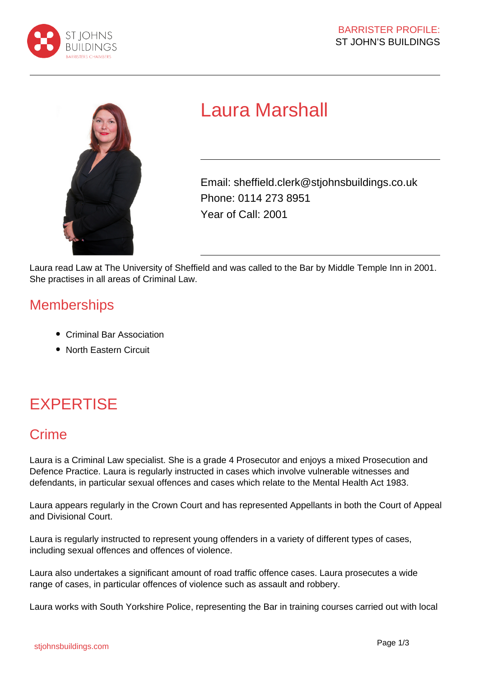



# Laura Marshall

Email: sheffield.clerk@stjohnsbuildings.co.uk Phone: 0114 273 8951 Year of Call: 2001

Laura read Law at The University of Sheffield and was called to the Bar by Middle Temple Inn in 2001. She practises in all areas of Criminal Law.

#### **Memberships**

- Criminal Bar Association
- North Eastern Circuit

## EXPERTISE

### Crime

Laura is a Criminal Law specialist. She is a grade 4 Prosecutor and enjoys a mixed Prosecution and Defence Practice. Laura is regularly instructed in cases which involve vulnerable witnesses and defendants, in particular sexual offences and cases which relate to the Mental Health Act 1983.

Laura appears regularly in the Crown Court and has represented Appellants in both the Court of Appeal and Divisional Court.

Laura is regularly instructed to represent young offenders in a variety of different types of cases, including sexual offences and offences of violence.

Laura also undertakes a significant amount of road traffic offence cases. Laura prosecutes a wide range of cases, in particular offences of violence such as assault and robbery.

Laura works with South Yorkshire Police, representing the Bar in training courses carried out with local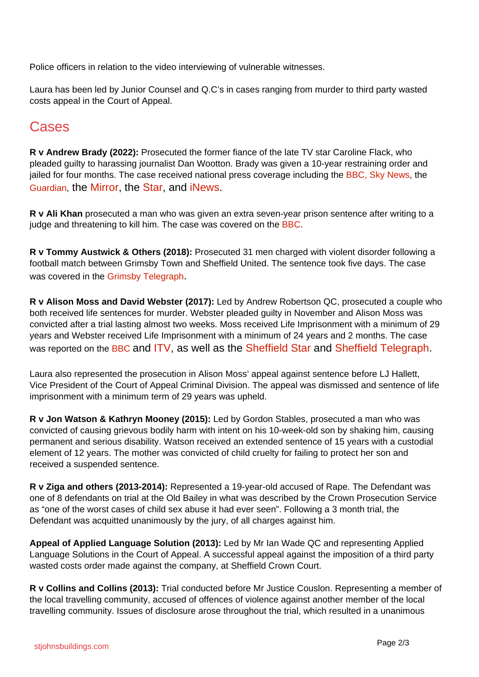Police officers in relation to the video interviewing of vulnerable witnesses.

Laura has been led by Junior Counsel and Q.C's in cases ranging from murder to third party wasted costs appeal in the Court of Appeal.

### Cases

**R v Andrew Brady (2022):** Prosecuted the former fiance of the late TV star Caroline Flack, who pleaded guilty to harassing journalist Dan Wootton. Brady was given a 10-year restraining order and jailed for four months. The case received national press coverage including the BBC, Sky News, the Guardian, the Mirror, the Star, and iNews.

**R v Ali Khan** prosecuted a man who was given an extra seven-year prison sentence after writing to a judge and threatening to kill him. The case was covered on the BBC.

**R v Tommy Austwick & Others (2018):** Prosecuted 31 men charged with violent disorder following a football match between Grimsby Town and Sheffield United. The sentence took five days. The case was covered in the Grimsby Telegraph.

**R v Alison Moss and David Webster (2017):** Led by Andrew Robertson QC, prosecuted a couple who both received life sentences for murder. Webster pleaded guilty in November and Alison Moss was convicted after a trial lasting almost two weeks. Moss received Life Imprisonment with a minimum of 29 years and Webster received Life Imprisonment with a minimum of 24 years and 2 months. The case was reported on the BBC and ITV, as well as the Sheffield Star and Sheffield Telegraph.

Laura also represented the prosecution in Alison Moss' appeal against sentence before LJ Hallett, Vice President of the Court of Appeal Criminal Division. The appeal was dismissed and sentence of life imprisonment with a minimum term of 29 years was upheld.

**R v Jon Watson & Kathryn Mooney (2015):** Led by Gordon Stables, prosecuted a man who was convicted of causing grievous bodily harm with intent on his 10-week-old son by shaking him, causing permanent and serious disability. Watson received an extended sentence of 15 years with a custodial element of 12 years. The mother was convicted of child cruelty for failing to protect her son and received a suspended sentence.

**R v Ziga and others (2013-2014):** Represented a 19-year-old accused of Rape. The Defendant was one of 8 defendants on trial at the Old Bailey in what was described by the Crown Prosecution Service as "one of the worst cases of child sex abuse it had ever seen". Following a 3 month trial, the Defendant was acquitted unanimously by the jury, of all charges against him.

**Appeal of Applied Language Solution (2013):** Led by Mr Ian Wade QC and representing Applied Language Solutions in the Court of Appeal. A successful appeal against the imposition of a third party wasted costs order made against the company, at Sheffield Crown Court.

**R v Collins and Collins (2013):** Trial conducted before Mr Justice Couslon. Representing a member of the local travelling community, accused of offences of violence against another member of the local travelling community. Issues of disclosure arose throughout the trial, which resulted in a unanimous